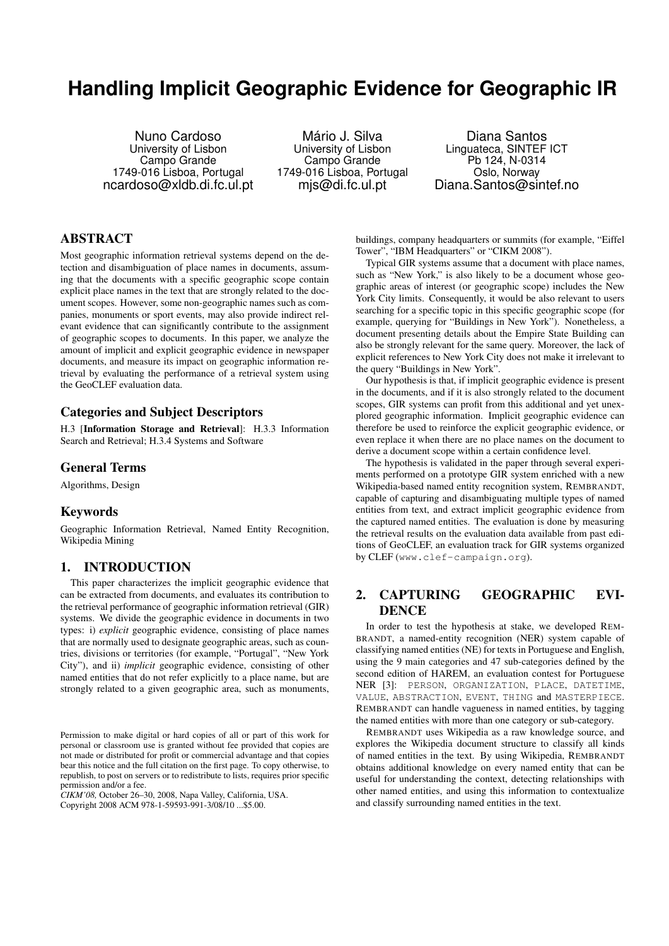# **Handling Implicit Geographic Evidence for Geographic IR**

Nuno Cardoso University of Lisbon Campo Grande 1749-016 Lisboa, Portugal ncardoso@xldb.di.fc.ul.pt

Mário J. Silva University of Lisbon Campo Grande 1749-016 Lisboa, Portugal mjs@di.fc.ul.pt

Diana Santos Linguateca, SINTEF ICT Pb 124, N-0314 Oslo, Norway Diana.Santos@sintef.no

# ABSTRACT

Most geographic information retrieval systems depend on the detection and disambiguation of place names in documents, assuming that the documents with a specific geographic scope contain explicit place names in the text that are strongly related to the document scopes. However, some non-geographic names such as companies, monuments or sport events, may also provide indirect relevant evidence that can significantly contribute to the assignment of geographic scopes to documents. In this paper, we analyze the amount of implicit and explicit geographic evidence in newspaper documents, and measure its impact on geographic information retrieval by evaluating the performance of a retrieval system using the GeoCLEF evaluation data.

## Categories and Subject Descriptors

H.3 [Information Storage and Retrieval]: H.3.3 Information Search and Retrieval; H.3.4 Systems and Software

## General Terms

Algorithms, Design

#### Keywords

Geographic Information Retrieval, Named Entity Recognition, Wikipedia Mining

## 1. INTRODUCTION

This paper characterizes the implicit geographic evidence that can be extracted from documents, and evaluates its contribution to the retrieval performance of geographic information retrieval (GIR) systems. We divide the geographic evidence in documents in two types: i) *explicit* geographic evidence, consisting of place names that are normally used to designate geographic areas, such as countries, divisions or territories (for example, "Portugal", "New York City"), and ii) *implicit* geographic evidence, consisting of other named entities that do not refer explicitly to a place name, but are strongly related to a given geographic area, such as monuments,

*CIKM'08,* October 26–30, 2008, Napa Valley, California, USA.

Copyright 2008 ACM 978-1-59593-991-3/08/10 ...\$5.00.

buildings, company headquarters or summits (for example, "Eiffel Tower", "IBM Headquarters" or "CIKM 2008").

Typical GIR systems assume that a document with place names, such as "New York," is also likely to be a document whose geographic areas of interest (or geographic scope) includes the New York City limits. Consequently, it would be also relevant to users searching for a specific topic in this specific geographic scope (for example, querying for "Buildings in New York"). Nonetheless, a document presenting details about the Empire State Building can also be strongly relevant for the same query. Moreover, the lack of explicit references to New York City does not make it irrelevant to the query "Buildings in New York".

Our hypothesis is that, if implicit geographic evidence is present in the documents, and if it is also strongly related to the document scopes, GIR systems can profit from this additional and yet unexplored geographic information. Implicit geographic evidence can therefore be used to reinforce the explicit geographic evidence, or even replace it when there are no place names on the document to derive a document scope within a certain confidence level.

The hypothesis is validated in the paper through several experiments performed on a prototype GIR system enriched with a new Wikipedia-based named entity recognition system, REMBRANDT, capable of capturing and disambiguating multiple types of named entities from text, and extract implicit geographic evidence from the captured named entities. The evaluation is done by measuring the retrieval results on the evaluation data available from past editions of GeoCLEF, an evaluation track for GIR systems organized by CLEF (www.clef-campaign.org).

# 2. CAPTURING GEOGRAPHIC EVI-**DENCE**

In order to test the hypothesis at stake, we developed REM-BRANDT, a named-entity recognition (NER) system capable of classifying named entities (NE) for texts in Portuguese and English, using the 9 main categories and 47 sub-categories defined by the second edition of HAREM, an evaluation contest for Portuguese NER [3]: PERSON, ORGANIZATION, PLACE, DATETIME, VALUE, ABSTRACTION, EVENT, THING and MASTERPIECE. REMBRANDT can handle vagueness in named entities, by tagging the named entities with more than one category or sub-category.

REMBRANDT uses Wikipedia as a raw knowledge source, and explores the Wikipedia document structure to classify all kinds of named entities in the text. By using Wikipedia, REMBRANDT obtains additional knowledge on every named entity that can be useful for understanding the context, detecting relationships with other named entities, and using this information to contextualize and classify surrounding named entities in the text.

Permission to make digital or hard copies of all or part of this work for personal or classroom use is granted without fee provided that copies are not made or distributed for profit or commercial advantage and that copies bear this notice and the full citation on the first page. To copy otherwise, to republish, to post on servers or to redistribute to lists, requires prior specific permission and/or a fee.